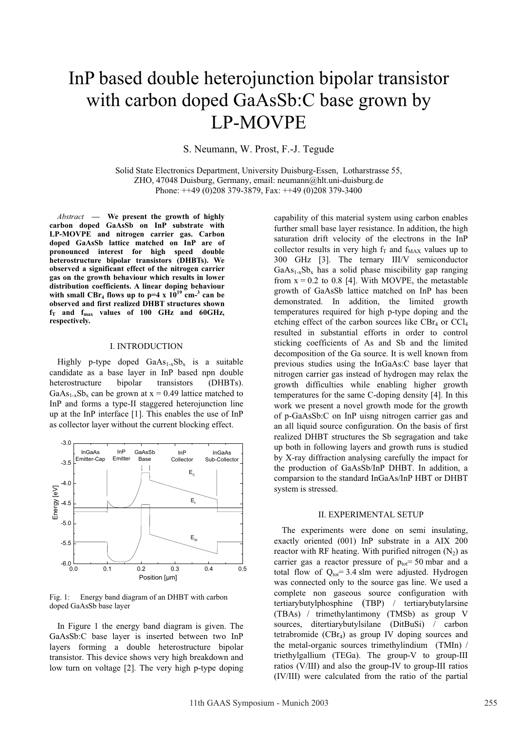# InP based double heterojunction bipolar transistor with carbon doped GaAsSb:C base grown by LP-MOVPE

S. Neumann, W. Prost, F.-J. Tegude

Solid State Electronics Department, University Duisburg-Essen, Lotharstrasse 55, ZHO, 47048 Duisburg, Germany, emai[l: neumann@hlt.uni-duisburg.de](mailto:neumann@hlt.uni-duisburg.de)  Phone: ++49 (0)208 379-3879, Fax: ++49 (0)208 379-3400

*Abstract* **— We present the growth of highly carbon doped GaAsSb on InP substrate with LP-MOVPE and nitrogen carrier gas. Carbon doped GaAsSb lattice matched on InP are of pronounced interest for high speed double heterostructure bipolar transistors (DHBTs). We observed a significant effect of the nitrogen carrier gas on the growth behaviour which results in lower distribution coefficients. A linear doping behaviour**  with small CBr<sub>4</sub> flows up to p=4 x  $10^{19}$  cm<sup>-3</sup> can be **observed and first realized DHBT structures shown**   $f_T$  and  $f_{max}$  values of 100 GHz and 60GHz, **respectively.** 

#### I. INTRODUCTION

Highly p-type doped  $GaAs_{1-x}Sb_x$  is a suitable candidate as a base layer in InP based npn double heterostructure bipolar transistors (DHBTs). GaAs<sub>1-x</sub>Sb<sub>x</sub> can be grown at  $x = 0.49$  lattice matched to InP and forms a type-II staggered heterojunction line up at the InP interface [1]. This enables the use of InP as collector layer without the current blocking effect.



Fig. 1: Energy band diagram of an DHBT with carbon doped GaAsSb base layer

In Figure 1 the energy band diagram is given. The GaAsSb:C base layer is inserted between two InP layers forming a double heterostructure bipolar transistor. This device shows very high breakdown and low turn on voltage [2]. The very high p-type doping capability of this material system using carbon enables further small base layer resistance. In addition, the high saturation drift velocity of the electrons in the InP collector results in very high  $f_T$  and  $f_{MAX}$  values up to 300 GHz [3]. The ternary III/V semiconductor  $GaAs<sub>1-x</sub>Sb<sub>x</sub>$  has a solid phase miscibility gap ranging from  $x = 0.2$  to 0.8 [4]. With MOVPE, the metastable growth of GaAsSb lattice matched on InP has been demonstrated. In addition, the limited growth temperatures required for high p-type doping and the etching effect of the carbon sources like  $CBr<sub>4</sub>$  or  $CCl<sub>4</sub>$ resulted in substantial efforts in order to control sticking coefficients of As and Sb and the limited decomposition of the Ga source. It is well known from previous studies using the InGaAs:C base layer that nitrogen carrier gas instead of hydrogen may relax the growth difficulties while enabling higher growth temperatures for the same C-doping density [4]. In this work we present a novel growth mode for the growth of p-GaAsSb:C on InP uisng nitrogen carrier gas and an all liquid source configuration. On the basis of first realized DHBT structures the Sb segragation and take up both in following layers and growth runs is studied by X-ray diffraction analysing carefully the impact for the production of GaAsSb/InP DHBT. In addition, a comparsion to the standard InGaAs/InP HBT or DHBT system is stressed.

#### II. EXPERIMENTAL SETUP

The experiments were done on semi insulating, exactly oriented (001) InP substrate in a AIX 200 reactor with RF heating. With purified nitrogen  $(N_2)$  as carrier gas a reactor pressure of  $p_{\text{tot}}= 50$  mbar and a total flow of  $Q_{\text{tot}}$ = 3.4 slm were adjusted. Hydrogen was connected only to the source gas line. We used a complete non gaseous source configuration with tertiarybutylphosphine (TBP) / tertiarybutylarsine (TBAs) / trimethylantimony (TMSb) as group V sources, ditertiarybutylsilane (DitBuSi) / carbon tetrabromide  $(CBr_4)$  as group IV doping sources and the metal-organic sources trimethylindium (TMIn) / triethylgallium (TEGa). The group-V to group-III ratios (V/III) and also the group-IV to group-III ratios (IV/III) were calculated from the ratio of the partial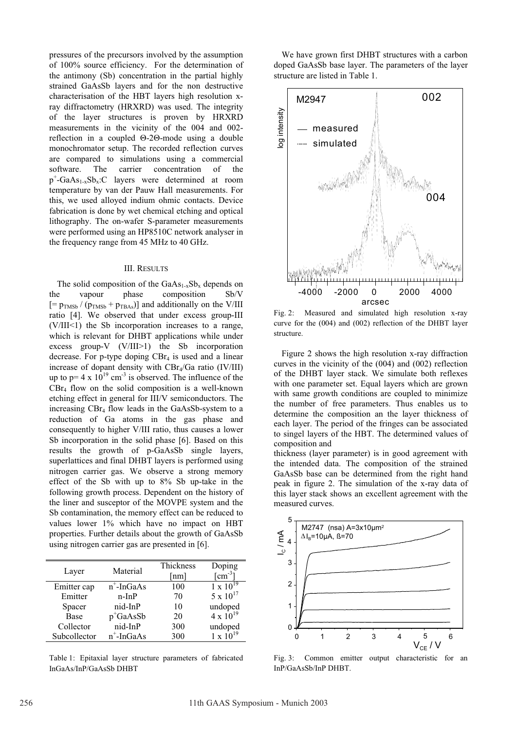pressures of the precursors involved by the assumption of 100% source efficiency. For the determination of the antimony (Sb) concentration in the partial highly strained GaAsSb layers and for the non destructive characterisation of the HBT layers high resolution xray diffractometry (HRXRD) was used. The integrity of the layer structures is proven by HRXRD measurements in the vicinity of the 004 and 002 reflection in a coupled  $\Theta$ -2 $\Theta$ -mode using a double monochromator setup. The recorded reflection curves are compared to simulations using a commercial software. The carrier concentration of the  $p^+$ -GaAs<sub>1-x</sub>Sb<sub>x</sub>:C layers were determined at room temperature by van der Pauw Hall measurements. For this, we used alloyed indium ohmic contacts. Device fabrication is done by wet chemical etching and optical lithography. The on-wafer S-parameter measurements were performed using an HP8510C network analyser in the frequency range from 45 MHz to 40 GHz.

#### III. RESULTS

The solid composition of the  $GaAs_{1-x}Sb_x$  depends on the vapour phase composition Sb/V  $[= p_{TMSb} / (p_{TMSb} + p_{TBAs})]$  and additionally on the V/III ratio [4]. We observed that under excess group-III (V/III<1) the Sb incorporation increases to a range, which is relevant for DHBT applications while under excess group-V (V/III>1) the Sb incorporation decrease. For p-type doping  $CBr<sub>4</sub>$  is used and a linear increase of dopant density with CBr4/Ga ratio (IV/III) up to  $p=4 \times 10^{19}$  cm<sup>-3</sup> is observed. The influence of the CBr4 flow on the solid composition is a well-known etching effect in general for III/V semiconductors. The increasing CBr4 flow leads in the GaAsSb-system to a reduction of Ga atoms in the gas phase and consequently to higher V/III ratio, thus causes a lower Sb incorporation in the solid phase [6]. Based on this results the growth of p-GaAsSb single layers, superlattices and final DHBT layers is performed using nitrogen carrier gas. We observe a strong memory effect of the Sb with up to 8% Sb up-take in the following growth process. Dependent on the history of the liner and susceptor of the MOVPE system and the Sb contamination, the memory effect can be reduced to values lower 1% which have no impact on HBT properties. Further details about the growth of GaAsSb using nitrogen carrier gas are presented in [6].

| Layer        | Material               | Thickness<br>[nm] | Doping<br>$\lceil$ cm <sup>-3</sup> |
|--------------|------------------------|-------------------|-------------------------------------|
| Emitter cap  | $n^*$ -InGaAs          | 100               | $1 \times 10^{19}$                  |
| Emitter      | $n$ -In $P$            | 70                | $5 \times 10^{17}$                  |
| Spacer       | nid-InP                | 10                | undoped                             |
| <b>Base</b>  | $p^{\dagger}GaAsSb$    | 20                | $4 \times 10^{19}$                  |
| Collector    | nid-InP                | 300               | undoped                             |
| Subcollector | $n^{\text{-}}$ -InGaAs | 300               | $1 \times 10^{19}$                  |

Table 1: Epitaxial layer structure parameters of fabricated InGaAs/InP/GaAsSb DHBT

We have grown first DHBT structures with a carbon doped GaAsSb base layer. The parameters of the layer structure are listed in Table 1.



Fig. 2: Measured and simulated high resolution x-ray curve for the (004) and (002) reflection of the DHBT layer structure.

Figure 2 shows the high resolution x-ray diffraction curves in the vicinity of the (004) and (002) reflection of the DHBT layer stack. We simulate both reflexes with one parameter set. Equal layers which are grown with same growth conditions are coupled to minimize the number of free parameters. Thus enables us to determine the composition an the layer thickness of each layer. The period of the fringes can be associated to singel layers of the HBT. The determined values of composition and

thickness (layer parameter) is in good agreement with the intended data. The composition of the strained GaAsSb base can be determined from the right hand peak in figure 2. The simulation of the x-ray data of this layer stack shows an excellent agreement with the measured curves.



Fig. 3: Common emitter output characteristic for an InP/GaAsSb/InP DHBT.